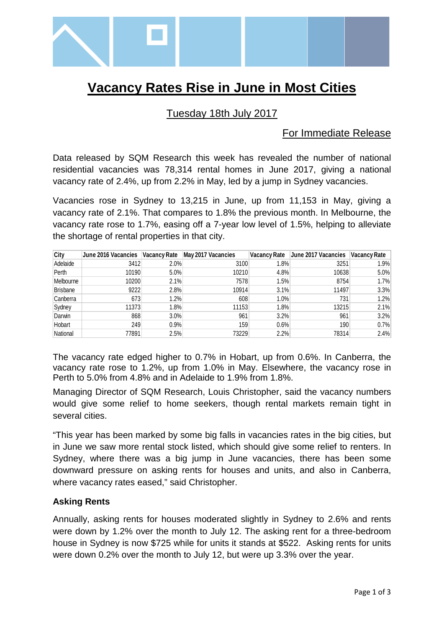

# **Vacancy Rates Rise in June in Most Cities**

## Tuesday 18th July 2017

### For Immediate Release

Data released by SQM Research this week has revealed the number of national residential vacancies was 78,314 rental homes in June 2017, giving a national vacancy rate of 2.4%, up from 2.2% in May, led by a jump in Sydney vacancies.

Vacancies rose in Sydney to 13,215 in June, up from 11,153 in May, giving a vacancy rate of 2.1%. That compares to 1.8% the previous month. In Melbourne, the vacancy rate rose to 1.7%, easing off a 7-year low level of 1.5%, helping to alleviate the shortage of rental properties in that city.

| City      | June 2016 Vacancies | <b>Vacancy Rate</b> | May 2017 Vacancies |      | Vacancy Rate June 2017 Vacancies | <b>Vacancy Rate</b> |
|-----------|---------------------|---------------------|--------------------|------|----------------------------------|---------------------|
| Adelaide  | 3412                | 2.0%                | 3100               | 1.8% | 3251                             | 1.9%                |
| Perth     | 10190               | 5.0%                | 10210              | 4.8% | 10638                            | 5.0%                |
| Melbourne | 10200               | 2.1%                | 7578               | 1.5% | 8754                             | 1.7%                |
| Brisbane  | 9222                | 2.8%                | 10914              | 3.1% | 11497                            | 3.3%                |
| Canberra  | 673                 | 1.2%                | 608                | 1.0% | 731                              | 1.2%                |
| Sydney    | 11373               | 1.8%                | 11153              | 1.8% | 13215                            | 2.1%                |
| Darwin    | 868                 | 3.0%                | 961                | 3.2% | 961                              | 3.2%                |
| Hobart    | 249                 | 0.9%                | 159                | 0.6% | 190                              | 0.7%                |
| National  | 77891               | 2.5%                | 73229              | 2.2% | 78314                            | 2.4%                |

The vacancy rate edged higher to 0.7% in Hobart, up from 0.6%. In Canberra, the vacancy rate rose to 1.2%, up from 1.0% in May. Elsewhere, the vacancy rose in Perth to 5.0% from 4.8% and in Adelaide to 1.9% from 1.8%.

Managing Director of SQM Research, Louis Christopher, said the vacancy numbers would give some relief to home seekers, though rental markets remain tight in several cities.

"This year has been marked by some big falls in vacancies rates in the big cities, but in June we saw more rental stock listed, which should give some relief to renters. In Sydney, where there was a big jump in June vacancies, there has been some downward pressure on asking rents for houses and units, and also in Canberra, where vacancy rates eased," said Christopher.

#### **Asking Rents**

Annually, asking rents for houses moderated slightly in Sydney to 2.6% and rents were down by 1.2% over the month to July 12. The asking rent for a three-bedroom house in Sydney is now \$725 while for units it stands at \$522. Asking rents for units were down 0.2% over the month to July 12, but were up 3.3% over the year.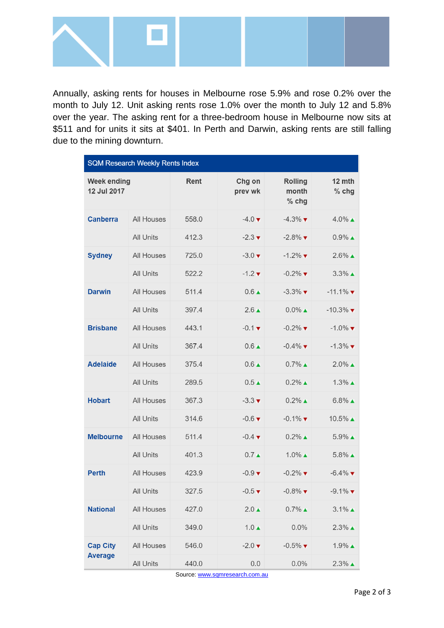

Annually, asking rents for houses in Melbourne rose 5.9% and rose 0.2% over the month to July 12. Unit asking rents rose 1.0% over the month to July 12 and 5.8% over the year. The asking rent for a three-bedroom house in Melbourne now sits at \$511 and for units it sits at \$401. In Perth and Darwin, asking rents are still falling due to the mining downturn.

| <b>SQM Research Weekly Rents Index</b> |                  |       |                             |                                    |                               |  |  |  |  |
|----------------------------------------|------------------|-------|-----------------------------|------------------------------------|-------------------------------|--|--|--|--|
| <b>Week ending</b><br>12 Jul 2017      |                  | Rent  | Chg on<br>prev wk           | <b>Rolling</b><br>month<br>$%$ chg | 12 mth<br>% chg               |  |  |  |  |
| <b>Canberra</b>                        | All Houses       | 558.0 | $-4.0 \blacktriangledown$   | $-4.3\%$ $\blacktriangledown$      | $4.0\%$ $\triangle$           |  |  |  |  |
|                                        | <b>All Units</b> | 412.3 | $-2.3 \blacktriangledown$   | $-2.8\%$                           | $0.9\%$ $\triangle$           |  |  |  |  |
| <b>Sydney</b>                          | All Houses       | 725.0 | $-3.0 \blacktriangledown$   | $-1.2\%$                           | $2.6\%$ $\triangle$           |  |  |  |  |
|                                        | <b>All Units</b> | 522.2 | $-1.2 \times$               | $-0.2\%$                           | $3.3\%$ $\triangle$           |  |  |  |  |
| <b>Darwin</b>                          | All Houses       | 511.4 | $0.6 \triangle$             | $-3.3\%$                           | $-11.1\%$                     |  |  |  |  |
|                                        | <b>All Units</b> | 397.4 | $2.6 \triangle$             | $0.0\%$ $\triangle$                | $-10.3\%$                     |  |  |  |  |
| <b>Brisbane</b>                        | All Houses       | 443.1 | $-0.1 \blacktriangledown$   | $-0.2\%$                           | $-1.0\%$ $\blacktriangledown$ |  |  |  |  |
|                                        | <b>All Units</b> | 367.4 | $0.6 \triangle$             | $-0.4\%$                           | $-1.3\%$                      |  |  |  |  |
| <b>Adelaide</b>                        | All Houses       | 375.4 | $0.6 \triangle$             | $0.7\%$ $\triangle$                | $2.0\%$ $\triangle$           |  |  |  |  |
|                                        | <b>All Units</b> | 289.5 | $0.5 \triangle$             | $0.2\%$ $\triangle$                | $1.3\%$ $\triangle$           |  |  |  |  |
| <b>Hobart</b>                          | All Houses       | 367.3 | $-3.3 \blacktriangledown$   | $0.2\%$ $\triangle$                | $6.8\%$ $\triangle$           |  |  |  |  |
|                                        | <b>All Units</b> | 314.6 | $-0.6$ $\blacktriangledown$ | $-0.1\%$ $\blacktriangledown$      | $10.5\%$ $\triangle$          |  |  |  |  |
| <b>Melbourne</b>                       | All Houses       | 511.4 | $-0.4$ $\blacktriangledown$ | $0.2\%$ $\triangle$                | $5.9\%$ $\triangle$           |  |  |  |  |
|                                        | <b>All Units</b> | 401.3 | $0.7 \triangle$             | $1.0\%$ $\triangle$                | $5.8\%$ $\triangle$           |  |  |  |  |
| <b>Perth</b>                           | All Houses       | 423.9 | $-0.9$ $\blacktriangledown$ | $-0.2\%$                           | $-6.4\%$ $\blacktriangledown$ |  |  |  |  |
|                                        | All Units        | 327.5 | $-0.5 \blacktriangledown$   | $-0.8\%$                           | $-9.1\%$                      |  |  |  |  |
| <b>National</b>                        | All Houses       | 427.0 | $2.0 \triangle$             | $0.7\%$ $\triangle$                | $3.1\%$ $\triangle$           |  |  |  |  |
|                                        | All Units        | 349.0 | $1.0 \triangle$             | 0.0%                               | $2.3\%$ $\triangle$           |  |  |  |  |
| <b>Cap City</b>                        | All Houses       | 546.0 | $-2.0 \blacktriangledown$   | $-0.5\%$ $\blacktriangledown$      | $1.9\%$ $\triangle$           |  |  |  |  |
| <b>Average</b>                         | All Units        | 440.0 | 0.0                         | 0.0%                               | $2.3\%$ $\triangle$           |  |  |  |  |

Source[: www.sqmresearch.com.au](http://www.sqmresearch.com.au/)